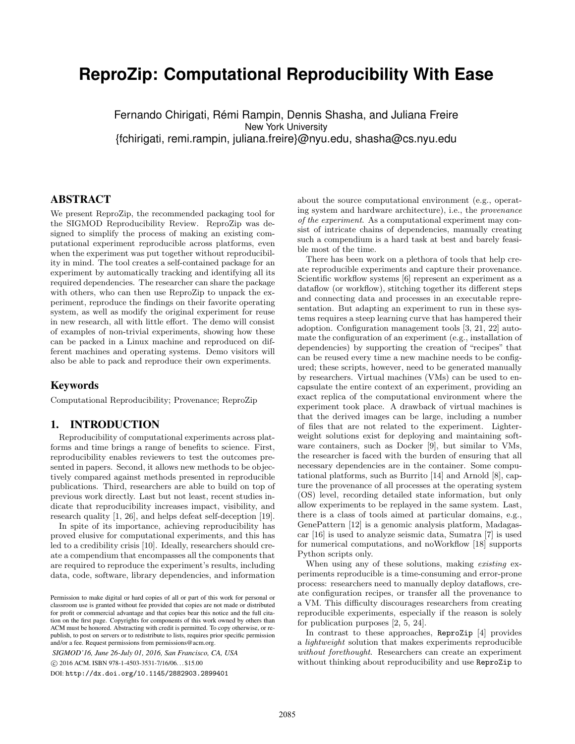# **ReproZip: Computational Reproducibility With Ease**

Fernando Chirigati, Rémi Rampin, Dennis Shasha, and Juliana Freire New York University {fchirigati, remi.rampin, juliana.freire}@nyu.edu, shasha@cs.nyu.edu

# ABSTRACT

We present ReproZip, the recommended packaging tool for the SIGMOD Reproducibility Review. ReproZip was designed to simplify the process of making an existing computational experiment reproducible across platforms, even when the experiment was put together without reproducibility in mind. The tool creates a self-contained package for an experiment by automatically tracking and identifying all its required dependencies. The researcher can share the package with others, who can then use ReproZip to unpack the experiment, reproduce the findings on their favorite operating system, as well as modify the original experiment for reuse in new research, all with little effort. The demo will consist of examples of non-trivial experiments, showing how these can be packed in a Linux machine and reproduced on different machines and operating systems. Demo visitors will also be able to pack and reproduce their own experiments.

# Keywords

Computational Reproducibility; Provenance; ReproZip

# 1. INTRODUCTION

Reproducibility of computational experiments across platforms and time brings a range of benefits to science. First, reproducibility enables reviewers to test the outcomes presented in papers. Second, it allows new methods to be objectively compared against methods presented in reproducible publications. Third, researchers are able to build on top of previous work directly. Last but not least, recent studies indicate that reproducibility increases impact, visibility, and research quality [1, 26], and helps defeat self-deception [19].

In spite of its importance, achieving reproducibility has proved elusive for computational experiments, and this has led to a credibility crisis [10]. Ideally, researchers should create a compendium that encompasses all the components that are required to reproduce the experiment's results, including data, code, software, library dependencies, and information

*SIGMOD'16, June 26-July 01, 2016, San Francisco, CA, USA*

about the source computational environment (e.g., operating system and hardware architecture), i.e., the provenance of the experiment. As a computational experiment may consist of intricate chains of dependencies, manually creating such a compendium is a hard task at best and barely feasible most of the time.

There has been work on a plethora of tools that help create reproducible experiments and capture their provenance. Scientific workflow systems [6] represent an experiment as a dataflow (or workflow), stitching together its different steps and connecting data and processes in an executable representation. But adapting an experiment to run in these systems requires a steep learning curve that has hampered their adoption. Configuration management tools [3, 21, 22] automate the configuration of an experiment (e.g., installation of dependencies) by supporting the creation of "recipes" that can be reused every time a new machine needs to be configured; these scripts, however, need to be generated manually by researchers. Virtual machines (VMs) can be used to encapsulate the entire context of an experiment, providing an exact replica of the computational environment where the experiment took place. A drawback of virtual machines is that the derived images can be large, including a number of files that are not related to the experiment. Lighterweight solutions exist for deploying and maintaining software containers, such as Docker [9], but similar to VMs, the researcher is faced with the burden of ensuring that all necessary dependencies are in the container. Some computational platforms, such as Burrito [14] and Arnold [8], capture the provenance of all processes at the operating system (OS) level, recording detailed state information, but only allow experiments to be replayed in the same system. Last, there is a class of tools aimed at particular domains, e.g., GenePattern [12] is a genomic analysis platform, Madagascar [16] is used to analyze seismic data, Sumatra [7] is used for numerical computations, and noWorkflow [18] supports Python scripts only.

When using any of these solutions, making existing experiments reproducible is a time-consuming and error-prone process: researchers need to manually deploy dataflows, create configuration recipes, or transfer all the provenance to a VM. This difficulty discourages researchers from creating reproducible experiments, especially if the reason is solely for publication purposes [2, 5, 24].

In contrast to these approaches, ReproZip [4] provides a lightweight solution that makes experiments reproducible without forethought. Researchers can create an experiment without thinking about reproducibility and use ReproZip to

Permission to make digital or hard copies of all or part of this work for personal or classroom use is granted without fee provided that copies are not made or distributed for profit or commercial advantage and that copies bear this notice and the full citation on the first page. Copyrights for components of this work owned by others than ACM must be honored. Abstracting with credit is permitted. To copy otherwise, or republish, to post on servers or to redistribute to lists, requires prior specific permission and/or a fee. Request permissions from permissions@acm.org.

c 2016 ACM. ISBN 978-1-4503-3531-7/16/06. . . \$15.00

DOI: http://dx.doi.org/10.1145/2882903.2899401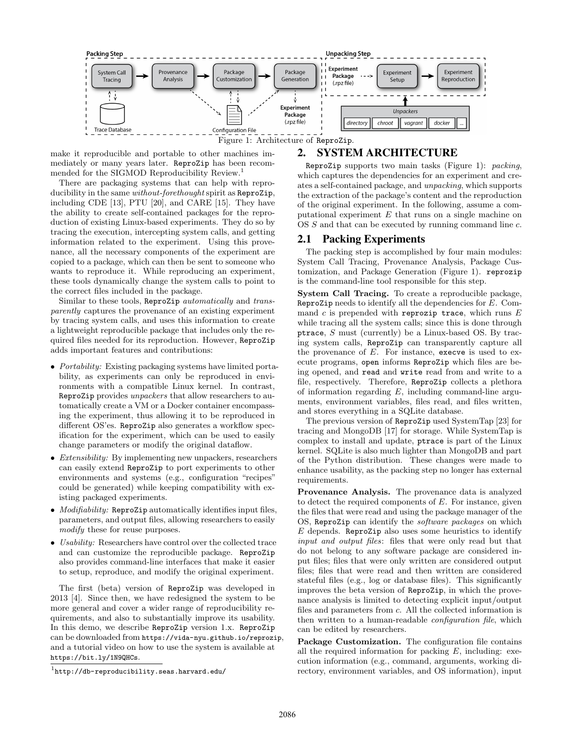

make it reproducible and portable to other machines immediately or many years later. ReproZip has been recommended for the SIGMOD Reproducibility Review.<sup>1</sup>

There are packaging systems that can help with reproducibility in the same without-forethought spirit as ReproZip, including CDE [13], PTU [20], and CARE [15]. They have the ability to create self-contained packages for the reproduction of existing Linux-based experiments. They do so by tracing the execution, intercepting system calls, and getting information related to the experiment. Using this provenance, all the necessary components of the experiment are copied to a package, which can then be sent to someone who wants to reproduce it. While reproducing an experiment, these tools dynamically change the system calls to point to the correct files included in the package.

Similar to these tools, ReproZip *automatically* and transparently captures the provenance of an existing experiment by tracing system calls, and uses this information to create a lightweight reproducible package that includes only the required files needed for its reproduction. However, ReproZip adds important features and contributions:

- Portability: Existing packaging systems have limited portability, as experiments can only be reproduced in environments with a compatible Linux kernel. In contrast, ReproZip provides unpackers that allow researchers to automatically create a VM or a Docker container encompassing the experiment, thus allowing it to be reproduced in different OS'es. ReproZip also generates a workflow specification for the experiment, which can be used to easily change parameters or modify the original dataflow.
- Extensibility: By implementing new unpackers, researchers can easily extend ReproZip to port experiments to other environments and systems (e.g., configuration "recipes" could be generated) while keeping compatibility with existing packaged experiments.
- Modifiability: ReproZip automatically identifies input files, parameters, and output files, allowing researchers to easily modify these for reuse purposes.
- Usability: Researchers have control over the collected trace and can customize the reproducible package. ReproZip also provides command-line interfaces that make it easier to setup, reproduce, and modify the original experiment.

The first (beta) version of ReproZip was developed in 2013 [4]. Since then, we have redesigned the system to be more general and cover a wider range of reproducibility requirements, and also to substantially improve its usability. In this demo, we describe ReproZip version 1.x. ReproZip can be downloaded from https://vida-nyu.github.io/reprozip, and a tutorial video on how to use the system is available at https://bit.ly/1N9QHCs.

# 2. SYSTEM ARCHITECTURE

ReproZip supports two main tasks (Figure 1):  $packing$ , which captures the dependencies for an experiment and creates a self-contained package, and unpacking, which supports the extraction of the package's content and the reproduction of the original experiment. In the following, assume a computational experiment  $E$  that runs on a single machine on OS S and that can be executed by running command line c.

# 2.1 Packing Experiments

The packing step is accomplished by four main modules: System Call Tracing, Provenance Analysis, Package Customization, and Package Generation (Figure 1). reprozip is the command-line tool responsible for this step.

System Call Tracing. To create a reproducible package, ReproZip needs to identify all the dependencies for E. Command  $c$  is prepended with reprozip trace, which runs  $E$ while tracing all the system calls; since this is done through ptrace, S must (currently) be a Linux-based OS. By tracing system calls, ReproZip can transparently capture all the provenance of  $E$ . For instance, execve is used to execute programs, open informs ReproZip which files are being opened, and read and write read from and write to a file, respectively. Therefore, ReproZip collects a plethora of information regarding  $E$ , including command-line arguments, environment variables, files read, and files written, and stores everything in a SQLite database.

The previous version of ReproZip used SystemTap [23] for tracing and MongoDB [17] for storage. While SystemTap is complex to install and update, ptrace is part of the Linux kernel. SQLite is also much lighter than MongoDB and part of the Python distribution. These changes were made to enhance usability, as the packing step no longer has external requirements.

Provenance Analysis. The provenance data is analyzed to detect the required components of  $E$ . For instance, given the files that were read and using the package manager of the OS, ReproZip can identify the software packages on which  $E$  depends. ReproZip also uses some heuristics to identify input and output files: files that were only read but that do not belong to any software package are considered input files; files that were only written are considered output files; files that were read and then written are considered stateful files (e.g., log or database files). This significantly improves the beta version of ReproZip, in which the provenance analysis is limited to detecting explicit input/output files and parameters from c. All the collected information is then written to a human-readable configuration file, which can be edited by researchers.

Package Customization. The configuration file contains all the required information for packing  $E$ , including: execution information (e.g., command, arguments, working directory, environment variables, and OS information), input

 $1$ http://db-reproducibility.seas.harvard.edu/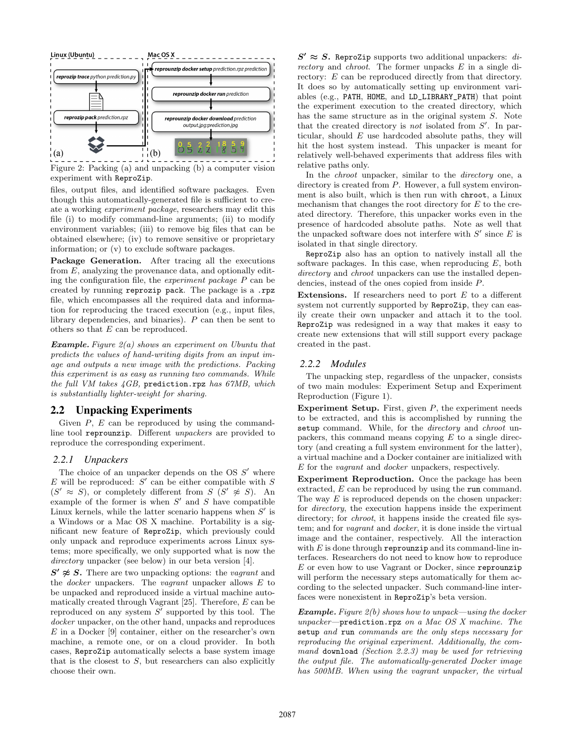

Figure 2: Packing (a) and unpacking (b) a computer vision experiment with ReproZip.

files, output files, and identified software packages. Even though this automatically-generated file is sufficient to create a working experiment package, researchers may edit this file (i) to modify command-line arguments; (ii) to modify environment variables; (iii) to remove big files that can be obtained elsewhere; (iv) to remove sensitive or proprietary information; or (v) to exclude software packages.

Package Generation. After tracing all the executions from E, analyzing the provenance data, and optionally editing the configuration file, the experiment package P can be created by running reprozip pack. The package is a .rpz file, which encompasses all the required data and information for reproducing the traced execution (e.g., input files, library dependencies, and binaries).  $P$  can then be sent to others so that  $E$  can be reproduced.

**Example.** Figure  $2(a)$  shows an experiment on Ubuntu that predicts the values of hand-writing digits from an input image and outputs a new image with the predictions. Packing this experiment is as easy as running two commands. While the full VM takes  $4GB$ , prediction.rpz has  $67MB$ , which is substantially lighter-weight for sharing.

# 2.2 Unpacking Experiments

Given  $P$ ,  $E$  can be reproduced by using the commandline tool reprounzip. Different unpackers are provided to reproduce the corresponding experiment.

#### *2.2.1 Unpackers*

The choice of an unpacker depends on the OS  $S'$  where E will be reproduced:  $S'$  can be either compatible with S  $(S' \approx S)$ , or completely different from  $S(S' \not\approx S)$ . An example of the former is when  $S'$  and  $S$  have compatible Linux kernels, while the latter scenario happens when  $S'$  is a Windows or a Mac OS X machine. Portability is a significant new feature of ReproZip, which previously could only unpack and reproduce experiments across Linux systems; more specifically, we only supported what is now the directory unpacker (see below) in our beta version [4].

 $S' \not\approx S$ . There are two unpacking options: the *vagrant* and the docker unpackers. The vagrant unpacker allows E to be unpacked and reproduced inside a virtual machine automatically created through Vagrant [25]. Therefore, E can be reproduced on any system  $S'$  supported by this tool. The docker unpacker, on the other hand, unpacks and reproduces E in a Docker [9] container, either on the researcher's own machine, a remote one, or on a cloud provider. In both cases, ReproZip automatically selects a base system image that is the closest to  $S$ , but researchers can also explicitly choose their own.

 $S' \approx S$ . ReproZip supports two additional unpackers: directory and chroot. The former unpacks  $E$  in a single directory: E can be reproduced directly from that directory. It does so by automatically setting up environment variables (e.g., PATH, HOME, and LD\_LIBRARY\_PATH) that point the experiment execution to the created directory, which has the same structure as in the original system S. Note that the created directory is *not* isolated from  $S'$ . In particular, should  $E$  use hardcoded absolute paths, they will hit the host system instead. This unpacker is meant for relatively well-behaved experiments that address files with relative paths only.

In the chroot unpacker, similar to the directory one, a directory is created from P. However, a full system environment is also built, which is then run with chroot, a Linux mechanism that changes the root directory for  $E$  to the created directory. Therefore, this unpacker works even in the presence of hardcoded absolute paths. Note as well that the unpacked software does not interfere with  $S'$  since  $E$  is isolated in that single directory.

ReproZip also has an option to natively install all the software packages. In this case, when reproducing  $E$ , both directory and chroot unpackers can use the installed dependencies, instead of the ones copied from inside P.

Extensions. If researchers need to port  $E$  to a different system not currently supported by ReproZip, they can easily create their own unpacker and attach it to the tool. ReproZip was redesigned in a way that makes it easy to create new extensions that will still support every package created in the past.

### *2.2.2 Modules*

The unpacking step, regardless of the unpacker, consists of two main modules: Experiment Setup and Experiment Reproduction (Figure 1).

Experiment Setup. First, given  $P$ , the experiment needs to be extracted, and this is accomplished by running the setup command. While, for the directory and chroot unpackers, this command means copying  $E$  to a single directory (and creating a full system environment for the latter), a virtual machine and a Docker container are initialized with E for the vagrant and docker unpackers, respectively.

Experiment Reproduction. Once the package has been extracted, E can be reproduced by using the run command. The way E is reproduced depends on the chosen unpacker: for directory, the execution happens inside the experiment directory; for *chroot*, it happens inside the created file system; and for *vagrant* and *docker*, it is done inside the virtual image and the container, respectively. All the interaction with  $E$  is done through reprounzip and its command-line interfaces. Researchers do not need to know how to reproduce  $E$  or even how to use Vagrant or Docker, since reprounzip will perform the necessary steps automatically for them according to the selected unpacker. Such command-line interfaces were nonexistent in ReproZip's beta version.

**Example.** Figure  $2(b)$  shows how to unpack—using the docker unpacker—prediction.rpz on a Mac  $OS\ X$  machine. The setup and run commands are the only steps necessary for reproducing the original experiment. Additionally, the command download (Section 2.2.3) may be used for retrieving the output file. The automatically-generated Docker image has 500MB. When using the vagrant unpacker, the virtual